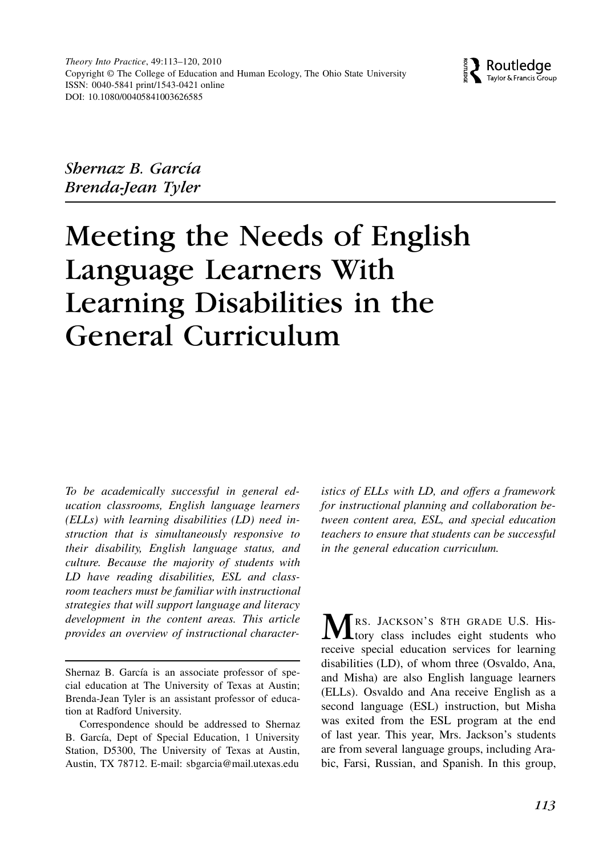

Shernaz B. García Brenda-Jean Tyler

# Meeting the Needs of English Language Learners With Learning Disabilities in the General Curriculum

To be academically successful in general education classrooms, English language learners (ELLs) with learning disabilities (LD) need instruction that is simultaneously responsive to their disability, English language status, and culture. Because the majority of students with LD have reading disabilities, ESL and classroom teachers must be familiar with instructional strategies that will support language and literacy development in the content areas. This article provides an overview of instructional character-

istics of ELLs with LD, and offers a framework for instructional planning and collaboration between content area, ESL, and special education teachers to ensure that students can be successful in the general education curriculum.

MRS. JACKSON'S 8TH GRADE U.S. His-<br> **M** tory class includes eight students who receive special education services for learning disabilities (LD), of whom three (Osvaldo, Ana, and Misha) are also English language learners (ELLs). Osvaldo and Ana receive English as a second language (ESL) instruction, but Misha was exited from the ESL program at the end of last year. This year, Mrs. Jackson's students are from several language groups, including Arabic, Farsi, Russian, and Spanish. In this group,

Shernaz B. García is an associate professor of special education at The University of Texas at Austin; Brenda-Jean Tyler is an assistant professor of education at Radford University.

Correspondence should be addressed to Shernaz B. García, Dept of Special Education, 1 University Station, D5300, The University of Texas at Austin, Austin, TX 78712. E-mail: sbgarcia@mail.utexas.edu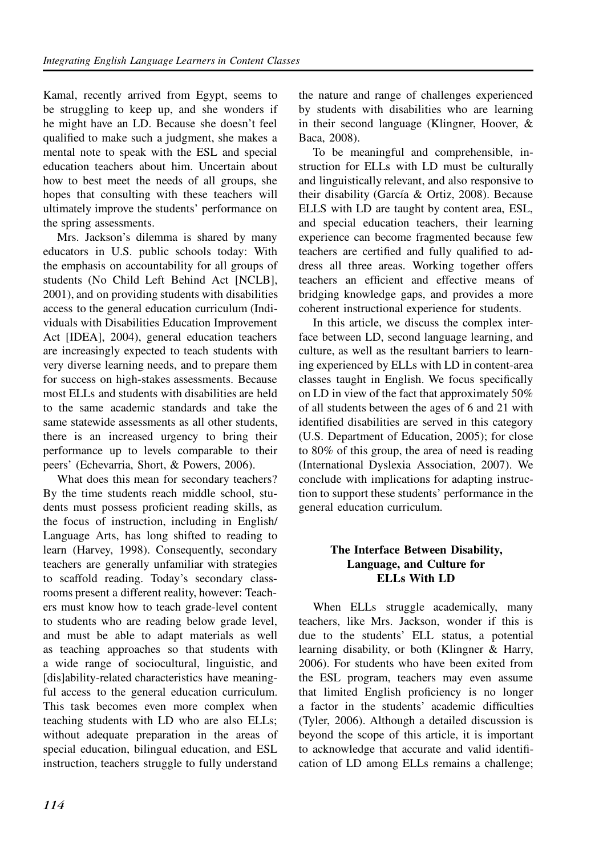Kamal, recently arrived from Egypt, seems to be struggling to keep up, and she wonders if he might have an LD. Because she doesn't feel qualified to make such a judgment, she makes a mental note to speak with the ESL and special education teachers about him. Uncertain about how to best meet the needs of all groups, she hopes that consulting with these teachers will ultimately improve the students' performance on the spring assessments.

Mrs. Jackson's dilemma is shared by many educators in U.S. public schools today: With the emphasis on accountability for all groups of students (No Child Left Behind Act [NCLB], 2001), and on providing students with disabilities access to the general education curriculum (Individuals with Disabilities Education Improvement Act [IDEA], 2004), general education teachers are increasingly expected to teach students with very diverse learning needs, and to prepare them for success on high-stakes assessments. Because most ELLs and students with disabilities are held to the same academic standards and take the same statewide assessments as all other students, there is an increased urgency to bring their performance up to levels comparable to their peers' (Echevarria, Short, & Powers, 2006).

What does this mean for secondary teachers? By the time students reach middle school, students must possess proficient reading skills, as the focus of instruction, including in English/ Language Arts, has long shifted to reading to learn (Harvey, 1998). Consequently, secondary teachers are generally unfamiliar with strategies to scaffold reading. Today's secondary classrooms present a different reality, however: Teachers must know how to teach grade-level content to students who are reading below grade level, and must be able to adapt materials as well as teaching approaches so that students with a wide range of sociocultural, linguistic, and [dis]ability-related characteristics have meaningful access to the general education curriculum. This task becomes even more complex when teaching students with LD who are also ELLs; without adequate preparation in the areas of special education, bilingual education, and ESL instruction, teachers struggle to fully understand the nature and range of challenges experienced by students with disabilities who are learning in their second language (Klingner, Hoover, & Baca, 2008).

To be meaningful and comprehensible, instruction for ELLs with LD must be culturally and linguistically relevant, and also responsive to their disability (García & Ortiz, 2008). Because ELLS with LD are taught by content area, ESL, and special education teachers, their learning experience can become fragmented because few teachers are certified and fully qualified to address all three areas. Working together offers teachers an efficient and effective means of bridging knowledge gaps, and provides a more coherent instructional experience for students.

In this article, we discuss the complex interface between LD, second language learning, and culture, as well as the resultant barriers to learning experienced by ELLs with LD in content-area classes taught in English. We focus specifically on LD in view of the fact that approximately 50% of all students between the ages of 6 and 21 with identified disabilities are served in this category (U.S. Department of Education, 2005); for close to 80% of this group, the area of need is reading (International Dyslexia Association, 2007). We conclude with implications for adapting instruction to support these students' performance in the general education curriculum.

#### The Interface Between Disability, Language, and Culture for ELLs With LD

When ELLs struggle academically, many teachers, like Mrs. Jackson, wonder if this is due to the students' ELL status, a potential learning disability, or both (Klingner & Harry, 2006). For students who have been exited from the ESL program, teachers may even assume that limited English proficiency is no longer a factor in the students' academic difficulties (Tyler, 2006). Although a detailed discussion is beyond the scope of this article, it is important to acknowledge that accurate and valid identification of LD among ELLs remains a challenge;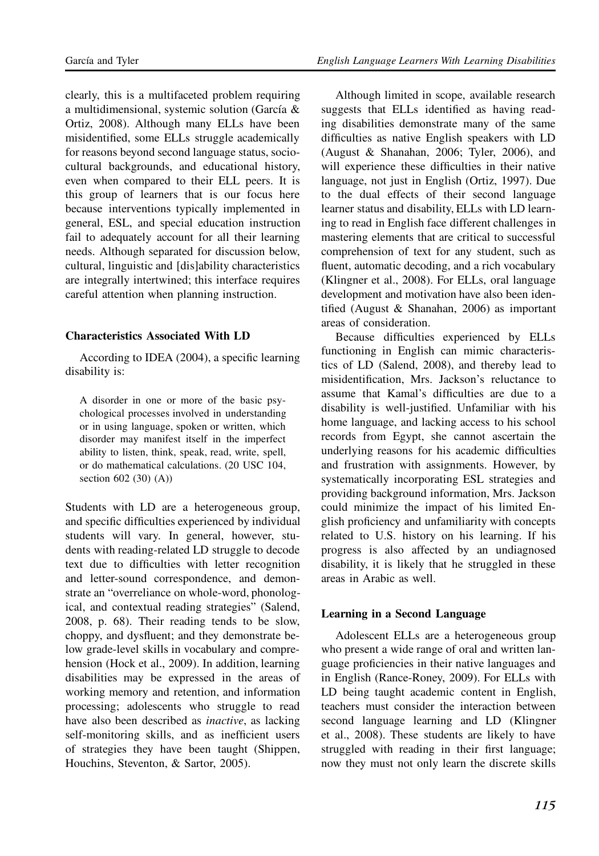clearly, this is a multifaceted problem requiring a multidimensional, systemic solution (García & Ortiz, 2008). Although many ELLs have been misidentified, some ELLs struggle academically for reasons beyond second language status, sociocultural backgrounds, and educational history, even when compared to their ELL peers. It is this group of learners that is our focus here because interventions typically implemented in general, ESL, and special education instruction fail to adequately account for all their learning needs. Although separated for discussion below, cultural, linguistic and [dis]ability characteristics are integrally intertwined; this interface requires careful attention when planning instruction.

#### Characteristics Associated With LD

According to IDEA (2004), a specific learning disability is:

A disorder in one or more of the basic psychological processes involved in understanding or in using language, spoken or written, which disorder may manifest itself in the imperfect ability to listen, think, speak, read, write, spell, or do mathematical calculations. (20 USC 104, section 602 (30) (A))

Students with LD are a heterogeneous group, and specific difficulties experienced by individual students will vary. In general, however, students with reading-related LD struggle to decode text due to difficulties with letter recognition and letter-sound correspondence, and demonstrate an "overreliance on whole-word, phonological, and contextual reading strategies" (Salend, 2008, p. 68). Their reading tends to be slow, choppy, and dysfluent; and they demonstrate below grade-level skills in vocabulary and comprehension (Hock et al., 2009). In addition, learning disabilities may be expressed in the areas of working memory and retention, and information processing; adolescents who struggle to read have also been described as inactive, as lacking self-monitoring skills, and as inefficient users of strategies they have been taught (Shippen, Houchins, Steventon, & Sartor, 2005).

Although limited in scope, available research suggests that ELLs identified as having reading disabilities demonstrate many of the same difficulties as native English speakers with LD (August & Shanahan, 2006; Tyler, 2006), and will experience these difficulties in their native language, not just in English (Ortiz, 1997). Due to the dual effects of their second language learner status and disability, ELLs with LD learning to read in English face different challenges in mastering elements that are critical to successful comprehension of text for any student, such as fluent, automatic decoding, and a rich vocabulary (Klingner et al., 2008). For ELLs, oral language development and motivation have also been identified (August & Shanahan, 2006) as important areas of consideration.

Because difficulties experienced by ELLs functioning in English can mimic characteristics of LD (Salend, 2008), and thereby lead to misidentification, Mrs. Jackson's reluctance to assume that Kamal's difficulties are due to a disability is well-justified. Unfamiliar with his home language, and lacking access to his school records from Egypt, she cannot ascertain the underlying reasons for his academic difficulties and frustration with assignments. However, by systematically incorporating ESL strategies and providing background information, Mrs. Jackson could minimize the impact of his limited English proficiency and unfamiliarity with concepts related to U.S. history on his learning. If his progress is also affected by an undiagnosed disability, it is likely that he struggled in these areas in Arabic as well.

#### Learning in a Second Language

Adolescent ELLs are a heterogeneous group who present a wide range of oral and written language proficiencies in their native languages and in English (Rance-Roney, 2009). For ELLs with LD being taught academic content in English, teachers must consider the interaction between second language learning and LD (Klingner et al., 2008). These students are likely to have struggled with reading in their first language; now they must not only learn the discrete skills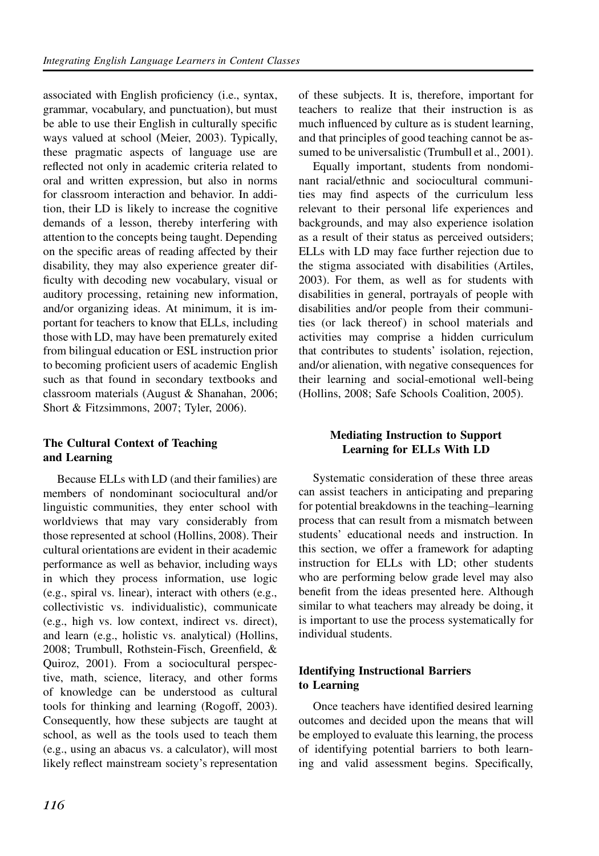associated with English proficiency (i.e., syntax, grammar, vocabulary, and punctuation), but must be able to use their English in culturally specific ways valued at school (Meier, 2003). Typically, these pragmatic aspects of language use are reflected not only in academic criteria related to oral and written expression, but also in norms for classroom interaction and behavior. In addition, their LD is likely to increase the cognitive demands of a lesson, thereby interfering with attention to the concepts being taught. Depending on the specific areas of reading affected by their disability, they may also experience greater difficulty with decoding new vocabulary, visual or auditory processing, retaining new information, and/or organizing ideas. At minimum, it is important for teachers to know that ELLs, including those with LD, may have been prematurely exited from bilingual education or ESL instruction prior to becoming proficient users of academic English such as that found in secondary textbooks and classroom materials (August & Shanahan, 2006; Short & Fitzsimmons, 2007; Tyler, 2006).

## The Cultural Context of Teaching and Learning

Because ELLs with LD (and their families) are members of nondominant sociocultural and/or linguistic communities, they enter school with worldviews that may vary considerably from those represented at school (Hollins, 2008). Their cultural orientations are evident in their academic performance as well as behavior, including ways in which they process information, use logic (e.g., spiral vs. linear), interact with others (e.g., collectivistic vs. individualistic), communicate (e.g., high vs. low context, indirect vs. direct), and learn (e.g., holistic vs. analytical) (Hollins, 2008; Trumbull, Rothstein-Fisch, Greenfield, & Quiroz, 2001). From a sociocultural perspective, math, science, literacy, and other forms of knowledge can be understood as cultural tools for thinking and learning (Rogoff, 2003). Consequently, how these subjects are taught at school, as well as the tools used to teach them (e.g., using an abacus vs. a calculator), will most likely reflect mainstream society's representation

of these subjects. It is, therefore, important for teachers to realize that their instruction is as much influenced by culture as is student learning, and that principles of good teaching cannot be assumed to be universalistic (Trumbull et al., 2001).

Equally important, students from nondominant racial/ethnic and sociocultural communities may find aspects of the curriculum less relevant to their personal life experiences and backgrounds, and may also experience isolation as a result of their status as perceived outsiders; ELLs with LD may face further rejection due to the stigma associated with disabilities (Artiles, 2003). For them, as well as for students with disabilities in general, portrayals of people with disabilities and/or people from their communities (or lack thereof) in school materials and activities may comprise a hidden curriculum that contributes to students' isolation, rejection, and/or alienation, with negative consequences for their learning and social-emotional well-being (Hollins, 2008; Safe Schools Coalition, 2005).

## Mediating Instruction to Support Learning for ELLs With LD

Systematic consideration of these three areas can assist teachers in anticipating and preparing for potential breakdowns in the teaching–learning process that can result from a mismatch between students' educational needs and instruction. In this section, we offer a framework for adapting instruction for ELLs with LD; other students who are performing below grade level may also benefit from the ideas presented here. Although similar to what teachers may already be doing, it is important to use the process systematically for individual students.

## Identifying Instructional Barriers to Learning

Once teachers have identified desired learning outcomes and decided upon the means that will be employed to evaluate this learning, the process of identifying potential barriers to both learning and valid assessment begins. Specifically,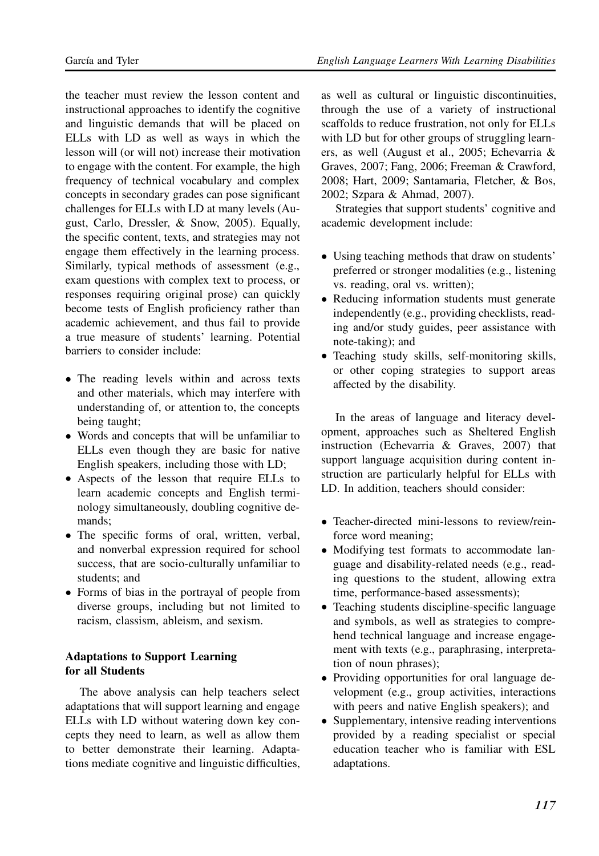the teacher must review the lesson content and instructional approaches to identify the cognitive and linguistic demands that will be placed on ELLs with LD as well as ways in which the lesson will (or will not) increase their motivation to engage with the content. For example, the high frequency of technical vocabulary and complex concepts in secondary grades can pose significant challenges for ELLs with LD at many levels (August, Carlo, Dressler, & Snow, 2005). Equally, the specific content, texts, and strategies may not engage them effectively in the learning process. Similarly, typical methods of assessment (e.g., exam questions with complex text to process, or responses requiring original prose) can quickly become tests of English proficiency rather than academic achievement, and thus fail to provide a true measure of students' learning. Potential barriers to consider include:

- The reading levels within and across texts and other materials, which may interfere with understanding of, or attention to, the concepts being taught;
- Words and concepts that will be unfamiliar to ELLs even though they are basic for native English speakers, including those with LD;
- Aspects of the lesson that require ELLs to learn academic concepts and English terminology simultaneously, doubling cognitive demands;
- The specific forms of oral, written, verbal, and nonverbal expression required for school success, that are socio-culturally unfamiliar to students; and
- Forms of bias in the portrayal of people from diverse groups, including but not limited to racism, classism, ableism, and sexism.

#### Adaptations to Support Learning for all Students

The above analysis can help teachers select adaptations that will support learning and engage ELLs with LD without watering down key concepts they need to learn, as well as allow them to better demonstrate their learning. Adaptations mediate cognitive and linguistic difficulties,

as well as cultural or linguistic discontinuities, through the use of a variety of instructional scaffolds to reduce frustration, not only for ELLs with LD but for other groups of struggling learners, as well (August et al., 2005; Echevarria & Graves, 2007; Fang, 2006; Freeman & Crawford, 2008; Hart, 2009; Santamaria, Fletcher, & Bos, 2002; Szpara & Ahmad, 2007).

Strategies that support students' cognitive and academic development include:

- Using teaching methods that draw on students' preferred or stronger modalities (e.g., listening vs. reading, oral vs. written);
- Reducing information students must generate independently (e.g., providing checklists, reading and/or study guides, peer assistance with note-taking); and
- Teaching study skills, self-monitoring skills, or other coping strategies to support areas affected by the disability.

In the areas of language and literacy development, approaches such as Sheltered English instruction (Echevarria & Graves, 2007) that support language acquisition during content instruction are particularly helpful for ELLs with LD. In addition, teachers should consider:

- Teacher-directed mini-lessons to review/reinforce word meaning;
- Modifying test formats to accommodate language and disability-related needs (e.g., reading questions to the student, allowing extra time, performance-based assessments);
- Teaching students discipline-specific language and symbols, as well as strategies to comprehend technical language and increase engagement with texts (e.g., paraphrasing, interpretation of noun phrases);
- Providing opportunities for oral language development (e.g., group activities, interactions with peers and native English speakers); and
- Supplementary, intensive reading interventions provided by a reading specialist or special education teacher who is familiar with ESL adaptations.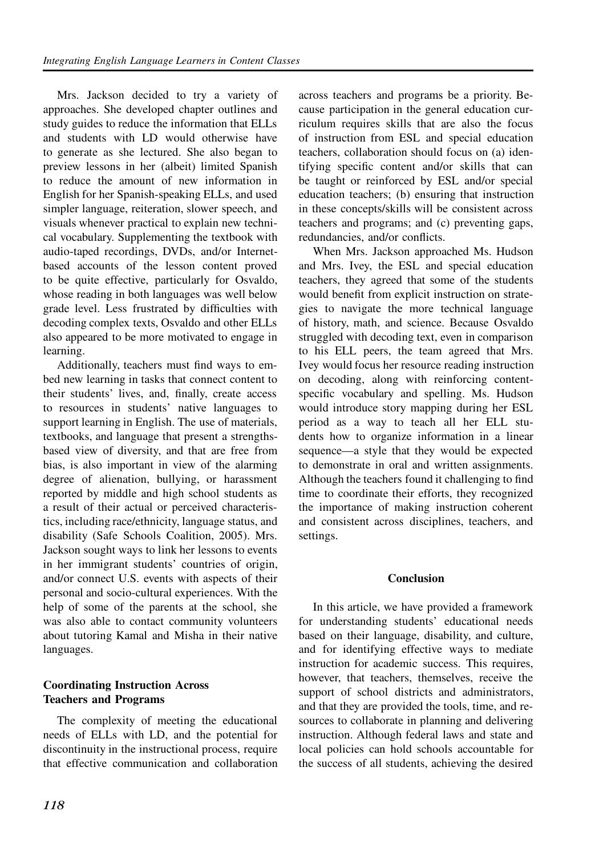Mrs. Jackson decided to try a variety of approaches. She developed chapter outlines and study guides to reduce the information that ELLs and students with LD would otherwise have to generate as she lectured. She also began to preview lessons in her (albeit) limited Spanish to reduce the amount of new information in English for her Spanish-speaking ELLs, and used simpler language, reiteration, slower speech, and visuals whenever practical to explain new technical vocabulary. Supplementing the textbook with audio-taped recordings, DVDs, and/or Internetbased accounts of the lesson content proved to be quite effective, particularly for Osvaldo, whose reading in both languages was well below grade level. Less frustrated by difficulties with decoding complex texts, Osvaldo and other ELLs also appeared to be more motivated to engage in learning.

Additionally, teachers must find ways to embed new learning in tasks that connect content to their students' lives, and, finally, create access to resources in students' native languages to support learning in English. The use of materials, textbooks, and language that present a strengthsbased view of diversity, and that are free from bias, is also important in view of the alarming degree of alienation, bullying, or harassment reported by middle and high school students as a result of their actual or perceived characteristics, including race/ethnicity, language status, and disability (Safe Schools Coalition, 2005). Mrs. Jackson sought ways to link her lessons to events in her immigrant students' countries of origin, and/or connect U.S. events with aspects of their personal and socio-cultural experiences. With the help of some of the parents at the school, she was also able to contact community volunteers about tutoring Kamal and Misha in their native languages.

## Coordinating Instruction Across Teachers and Programs

The complexity of meeting the educational needs of ELLs with LD, and the potential for discontinuity in the instructional process, require that effective communication and collaboration

across teachers and programs be a priority. Because participation in the general education curriculum requires skills that are also the focus of instruction from ESL and special education teachers, collaboration should focus on (a) identifying specific content and/or skills that can be taught or reinforced by ESL and/or special education teachers; (b) ensuring that instruction in these concepts/skills will be consistent across teachers and programs; and (c) preventing gaps, redundancies, and/or conflicts.

When Mrs. Jackson approached Ms. Hudson and Mrs. Ivey, the ESL and special education teachers, they agreed that some of the students would benefit from explicit instruction on strategies to navigate the more technical language of history, math, and science. Because Osvaldo struggled with decoding text, even in comparison to his ELL peers, the team agreed that Mrs. Ivey would focus her resource reading instruction on decoding, along with reinforcing contentspecific vocabulary and spelling. Ms. Hudson would introduce story mapping during her ESL period as a way to teach all her ELL students how to organize information in a linear sequence—a style that they would be expected to demonstrate in oral and written assignments. Although the teachers found it challenging to find time to coordinate their efforts, they recognized the importance of making instruction coherent and consistent across disciplines, teachers, and settings.

## Conclusion

In this article, we have provided a framework for understanding students' educational needs based on their language, disability, and culture, and for identifying effective ways to mediate instruction for academic success. This requires, however, that teachers, themselves, receive the support of school districts and administrators, and that they are provided the tools, time, and resources to collaborate in planning and delivering instruction. Although federal laws and state and local policies can hold schools accountable for the success of all students, achieving the desired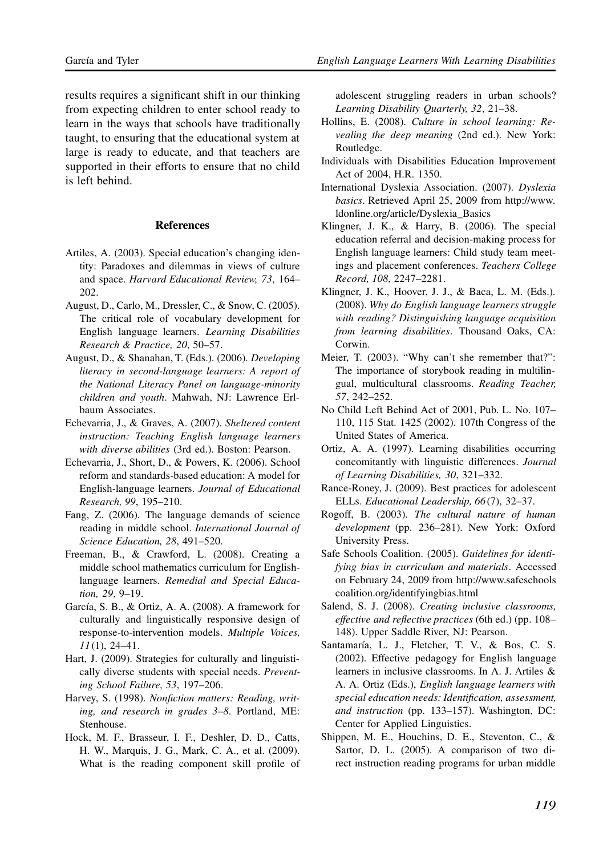results requires a significant shift in our thinking from expecting children to enter school ready to learn in the ways that schools have traditionally taught, to ensuring that the educational system at large is ready to educate, and that teachers are supported in their efforts to ensure that no child is left behind.

#### **References**

- Artiles, A. (2003). Special education's changing identity: Paradoxes and dilemmas in views of culture and space. Harvard Educational Review, 73, 164– 202.
- August, D., Carlo, M., Dressler, C., & Snow, C. (2005). The critical role of vocabulary development for English language learners. Learning Disabilities Research & Practice, 20, 50–57.
- August, D., & Shanahan, T. (Eds.). (2006). Developing literacy in second-language learners: A report of the National Literacy Panel on language-minority children and youth. Mahwah, NJ: Lawrence Erlbaum Associates.
- Echevarria, J., & Graves, A. (2007). Sheltered content instruction: Teaching English language learners with diverse abilities (3rd ed.). Boston: Pearson.
- Echevarria, J., Short, D., & Powers, K. (2006). School reform and standards-based education: A model for English-language learners. Journal of Educational Research, 99, 195–210.
- Fang, Z. (2006). The language demands of science reading in middle school. International Journal of Science Education, 28, 491–520.
- Freeman, B., & Crawford, L. (2008). Creating a middle school mathematics curriculum for Englishlanguage learners. Remedial and Special Education, 29, 9–19.
- García, S. B., & Ortiz, A. A. (2008). A framework for culturally and linguistically responsive design of response-to-intervention models. Multiple Voices,  $11(1)$ , 24–41.
- Hart, J. (2009). Strategies for culturally and linguistically diverse students with special needs. Preventing School Failure, 53, 197–206.
- Harvey, S. (1998). Nonfiction matters: Reading, writing, and research in grades 3–8. Portland, ME: Stenhouse.
- Hock, M. F., Brasseur, I. F., Deshler, D. D., Catts, H. W., Marquis, J. G., Mark, C. A., et al. (2009). What is the reading component skill profile of

adolescent struggling readers in urban schools? Learning Disability Quarterly, 32, 21–38.

- Hollins, E. (2008). Culture in school learning: Revealing the deep meaning (2nd ed.). New York: Routledge.
- Individuals with Disabilities Education Improvement Act of 2004, H.R. 1350.
- International Dyslexia Association. (2007). Dyslexia basics. Retrieved April 25, 2009 from http://www. ldonline.org/article/Dyslexia\_Basics
- Klingner, J. K., & Harry, B. (2006). The special education referral and decision-making process for English language learners: Child study team meetings and placement conferences. Teachers College Record, 108, 2247–2281.
- Klingner, J. K., Hoover, J. J., & Baca, L. M. (Eds.). (2008). Why do English language learners struggle with reading? Distinguishing language acquisition from learning disabilities. Thousand Oaks, CA: Corwin.
- Meier, T. (2003). "Why can't she remember that?": The importance of storybook reading in multilingual, multicultural classrooms. Reading Teacher, 57, 242–252.
- No Child Left Behind Act of 2001, Pub. L. No. 107– 110, 115 Stat. 1425 (2002). 107th Congress of the United States of America.
- Ortiz, A. A. (1997). Learning disabilities occurring concomitantly with linguistic differences. Journal of Learning Disabilities, 30, 321–332.
- Rance-Roney, J. (2009). Best practices for adolescent ELLs. Educational Leadership, 66(7), 32–37.
- Rogoff, B. (2003). The cultural nature of human development (pp. 236–281). New York: Oxford University Press.
- Safe Schools Coalition. (2005). Guidelines for identifying bias in curriculum and materials. Accessed on February 24, 2009 from http://www.safeschools coalition.org/identifyingbias.html
- Salend, S. J. (2008). Creating inclusive classrooms, effective and reflective practices (6th ed.) (pp. 108– 148). Upper Saddle River, NJ: Pearson.
- Santamaría, L. J., Fletcher, T. V., & Bos, C. S. (2002). Effective pedagogy for English language learners in inclusive classrooms. In A. J. Artiles & A. A. Ortiz (Eds.), English language learners with special education needs: Identification, assessment, and instruction (pp. 133–157). Washington, DC: Center for Applied Linguistics.
- Shippen, M. E., Houchins, D. E., Steventon, C., & Sartor, D. L. (2005). A comparison of two direct instruction reading programs for urban middle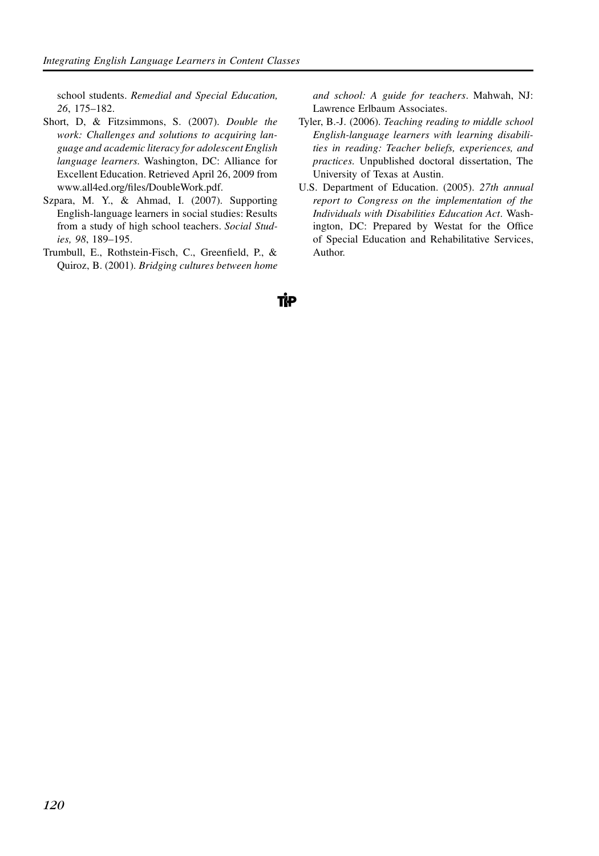school students. Remedial and Special Education, 26, 175–182.

- Short, D, & Fitzsimmons, S. (2007). Double the work: Challenges and solutions to acquiring language and academic literacy for adolescent English language learners. Washington, DC: Alliance for Excellent Education. Retrieved April 26, 2009 from www.all4ed.org/files/DoubleWork.pdf.
- Szpara, M. Y., & Ahmad, I. (2007). Supporting English-language learners in social studies: Results from a study of high school teachers. Social Studies, 98, 189–195.
- Trumbull, E., Rothstein-Fisch, C., Greenfield, P., & Quiroz, B. (2001). Bridging cultures between home

and school: A guide for teachers. Mahwah, NJ: Lawrence Erlbaum Associates.

- Tyler, B.-J. (2006). Teaching reading to middle school English-language learners with learning disabilities in reading: Teacher beliefs, experiences, and practices. Unpublished doctoral dissertation, The University of Texas at Austin.
- U.S. Department of Education. (2005). 27th annual report to Congress on the implementation of the Individuals with Disabilities Education Act. Washington, DC: Prepared by Westat for the Office of Special Education and Rehabilitative Services, Author.

ТłР